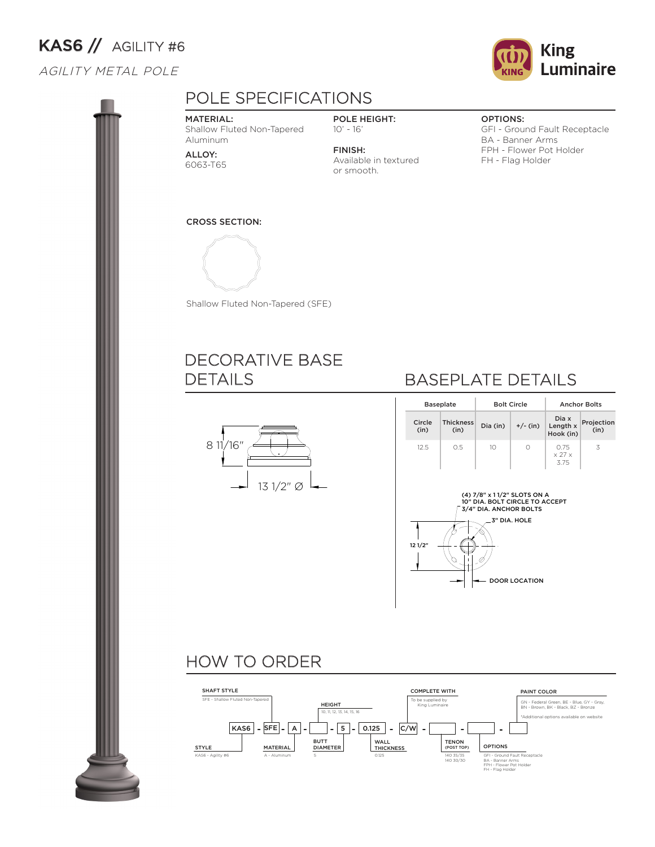## KAS6 // AGILITY #6

#### AGILITY METAL POLE



#### MATERIAL:

Shallow Fluted Non-Tapered Aluminum

ALLOY: 6063-T65

#### POLE HEIGHT: 10' - 16'

FINISH: Available in textured or smooth.

#### OPTIONS:

GFI - Ground Fault Receptacle BA - Banner Arms FPH - Flower Pot Holder FH - Flag Holder

# CROSS SECTION:



Shallow Fluted Non-Tapered (SFE)

### DECORATIVE BASE DETAILS



## BASEPLATE DETAILS

|                | <b>Baseplate</b>         |          | <b>Bolt Circle</b> | <b>Anchor Bolts</b>                  |                    |  |
|----------------|--------------------------|----------|--------------------|--------------------------------------|--------------------|--|
| Circle<br>(in) | <b>Thickness</b><br>(in) | Dia (in) | $+/-$ (in)         | Dia x<br>Length x<br>Hook (in)       | Projection<br>(in) |  |
| 12.5           | 0.5                      | 10       | Ω                  | 0.75<br>$\times$ 27 $\times$<br>3.75 | 3                  |  |
|                |                          |          |                    |                                      |                    |  |



### HOW TO ORDER